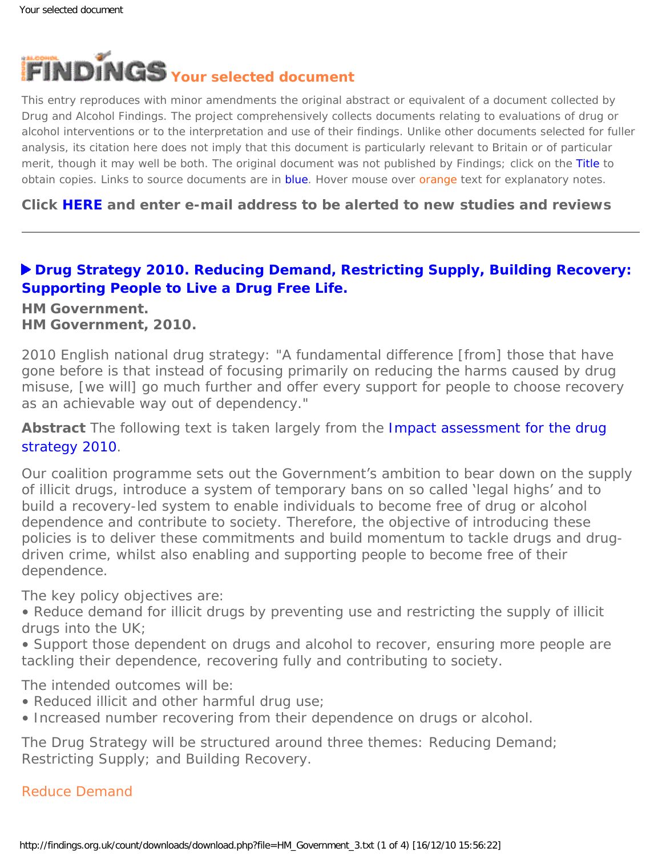

This entry reproduces with minor amendments the original abstract or equivalent of a document collected by Drug and Alcohol Findings. The project comprehensively collects documents relating to evaluations of drug or alcohol interventions or to the interpretation and use of their findings. Unlike other documents selected for fuller analysis, its citation here does not imply that this document is particularly relevant to Britain or of particular merit, though it may well be both. The original document was not published by Findings; click on the Title to obtain copies. Links to source documents are in blue. Hover mouse over orange text for explanatory notes.

## **Click [HERE](https://findings.org.uk/index.php#signUp) and enter e-mail address to be alerted to new studies and reviews**

## **[Drug Strategy 2010. Reducing Demand, Restricting Supply, Building Recovery:](http://www.homeoffice.gov.uk/publications/drugs/drug-strategy/) [Supporting People to Live a Drug Free Life.](http://www.homeoffice.gov.uk/publications/drugs/drug-strategy/)**

### **HM Government. HM Government, 2010.**

2010 English national drug strategy: "A fundamental difference [from] those that have gone before is that instead of focusing primarily on reducing the harms caused by drug misuse, [we will] go much further and offer every support for people to choose recovery as an achievable way out of dependency."

**Abstract** The following text is taken largely from the [Impact assessment for the drug](http://www.homeoffice.gov.uk/publications/drugs/drug-strategy/impact-assessment?view=Binary) [strategy 2010](http://www.homeoffice.gov.uk/publications/drugs/drug-strategy/impact-assessment?view=Binary).

Our coalition programme sets out the Government's ambition to bear down on the supply of illicit drugs, introduce a system of temporary bans on so called 'legal highs' and to build a recovery-led system to enable individuals to become free of drug or alcohol dependence and contribute to society. Therefore, the objective of introducing these policies is to deliver these commitments and build momentum to tackle drugs and drugdriven crime, whilst also enabling and supporting people to become free of their dependence.

The key policy objectives are:

• Reduce demand for illicit drugs by preventing use and restricting the supply of illicit drugs into the UK;

• Support those dependent on drugs and alcohol to recover, ensuring more people are tackling their dependence, recovering fully and contributing to society.

The intended outcomes will be:

- Reduced illicit and other harmful drug use;
- Increased number recovering from their dependence on drugs or alcohol.

The Drug Strategy will be structured around three themes: Reducing Demand; Restricting Supply; and Building Recovery.

### Reduce Demand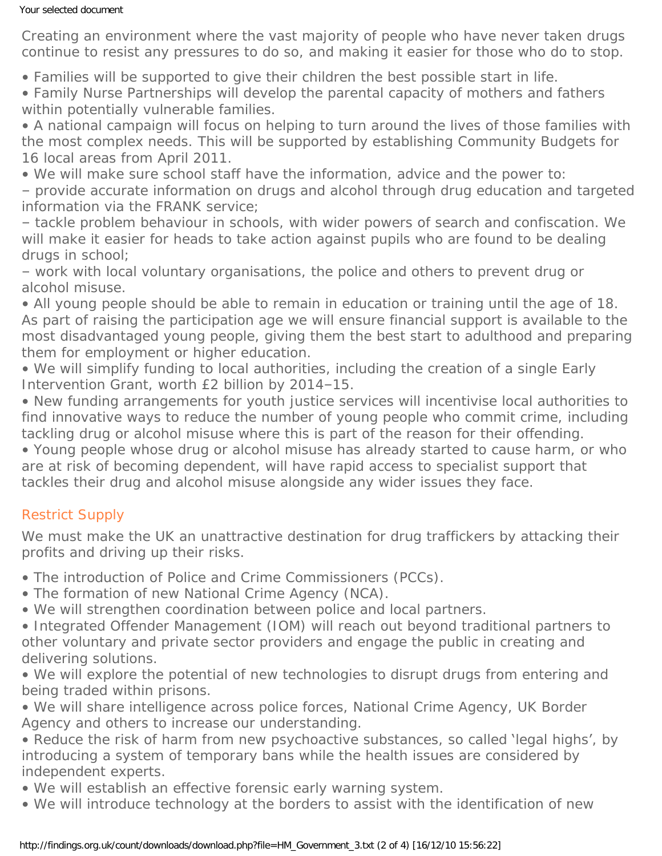#### Your selected document

*Creating an environment where the vast majority of people who have never taken drugs continue to resist any pressures to do so, and making it easier for those who do to stop.*

• Families will be supported to give their children the best possible start in life.

• Family Nurse Partnerships will develop the parental capacity of mothers and fathers within potentially vulnerable families.

• A national campaign will focus on helping to turn around the lives of those families with the most complex needs. This will be supported by establishing Community Budgets for 16 local areas from April 2011.

• We will make sure school staff have the information, advice and the power to:

– provide accurate information on drugs and alcohol through drug education and targeted information via the FRANK service;

– tackle problem behaviour in schools, with wider powers of search and confiscation. We will make it easier for heads to take action against pupils who are found to be dealing drugs in school;

– work with local voluntary organisations, the police and others to prevent drug or alcohol misuse.

• All young people should be able to remain in education or training until the age of 18. As part of raising the participation age we will ensure financial support is available to the most disadvantaged young people, giving them the best start to adulthood and preparing them for employment or higher education.

• We will simplify funding to local authorities, including the creation of a single Early Intervention Grant, worth £2 billion by 2014–15.

• New funding arrangements for youth justice services will incentivise local authorities to find innovative ways to reduce the number of young people who commit crime, including tackling drug or alcohol misuse where this is part of the reason for their offending.

• Young people whose drug or alcohol misuse has already started to cause harm, or who are at risk of becoming dependent, will have rapid access to specialist support that tackles their drug and alcohol misuse alongside any wider issues they face.

# Restrict Supply

We must make the UK an unattractive destination for drug traffickers by attacking their *profits and driving up their risks.*

• The introduction of Police and Crime Commissioners (PCCs).

- The formation of new National Crime Agency (NCA).
- We will strengthen coordination between police and local partners.

• Integrated Offender Management (IOM) will reach out beyond traditional partners to other voluntary and private sector providers and engage the public in creating and delivering solutions.

• We will explore the potential of new technologies to disrupt drugs from entering and being traded within prisons.

• We will share intelligence across police forces, National Crime Agency, UK Border Agency and others to increase our understanding.

• Reduce the risk of harm from new psychoactive substances, so called 'legal highs', by introducing a system of temporary bans while the health issues are considered by independent experts.

• We will establish an effective forensic early warning system.

• We will introduce technology at the borders to assist with the identification of new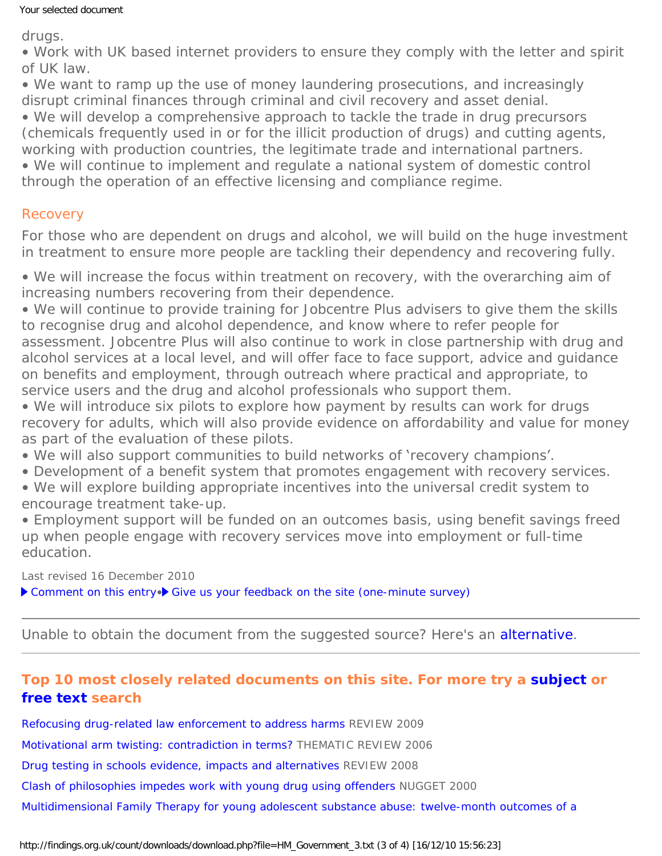#### Your selected document

drugs.

• Work with UK based internet providers to ensure they comply with the letter and spirit of UK law.

• We want to ramp up the use of money laundering prosecutions, and increasingly disrupt criminal finances through criminal and civil recovery and asset denial.

• We will develop a comprehensive approach to tackle the trade in drug precursors (chemicals frequently used in or for the illicit production of drugs) and cutting agents, working with production countries, the legitimate trade and international partners.

• We will continue to implement and regulate a national system of domestic control through the operation of an effective licensing and compliance regime.

## Recovery

For those who are dependent on drugs and alcohol, we will build on the huge investment *in treatment to ensure more people are tackling their dependency and recovering fully.*

• We will increase the focus within treatment on recovery, with the overarching aim of increasing numbers recovering from their dependence.

• We will continue to provide training for Jobcentre Plus advisers to give them the skills to recognise drug and alcohol dependence, and know where to refer people for assessment. Jobcentre Plus will also continue to work in close partnership with drug and alcohol services at a local level, and will offer face to face support, advice and guidance on benefits and employment, through outreach where practical and appropriate, to service users and the drug and alcohol professionals who support them.

• We will introduce six pilots to explore how payment by results can work for drugs recovery for adults, which will also provide evidence on affordability and value for money as part of the evaluation of these pilots.

- We will also support communities to build networks of 'recovery champions'.
- Development of a benefit system that promotes engagement with recovery services.
- We will explore building appropriate incentives into the universal credit system to encourage treatment take-up.
- Employment support will be funded on an outcomes basis, using benefit savings freed up when people engage with recovery services move into employment or full-time education.

Last revised 16 December 2010

▶ [Comment on this entry](mailto:editor@findings.org.uk?Subject=Findings%20entry:%20Drug%20Strategy%202010.%20Reducing%20Demand,%20Restricting%20Supply,%20Building%20Recovery:%20Supporting%20People%20to%20Live%20a%20Drug%20Free%20Life)•▶ [Give us your feedback on the site \(one-minute survey\)](http://www.surveymonkey.com/s/C2PX7D5)

Unable to obtain the document from the suggested source? Here's an [alternative](http://www.homeoffice.gov.uk/publications/drugs/drug-strategy/drug-strategy-2010?view=Binary).

# **Top 10 most closely related documents on this site. For more try a [subject](https://findings.org.uk/topic_search.htm) or [free text](https://findings.org.uk/free_search.htm) search**

[Refocusing drug-related law enforcement to address harms](https://findings.org.uk/count/downloads/download.php?file=UKDPC_3.txt) REVIEW 2009

[Motivational arm twisting: contradiction in terms?](https://findings.org.uk/count/downloads/download.php?file=Ashton_M_34.pdf) THEMATIC REVIEW 2006

[Drug testing in schools evidence, impacts and alternatives](https://findings.org.uk/count/downloads/download.php?file=Roche_AM_5.txt) REVIEW 2008

[Clash of philosophies impedes work with young drug using offenders](https://findings.org.uk/count/downloads/download.php?file=nug_3_11.pdf) NUGGET 2000

[Multidimensional Family Therapy for young adolescent substance abuse: twelve-month outcomes of a](https://findings.org.uk/count/downloads/download.php?file=Liddle_HA_6.txt)